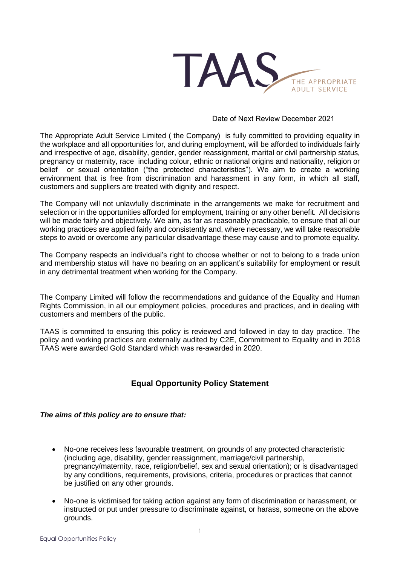

### Date of Next Review December 2021

The Appropriate Adult Service Limited ( the Company) is fully committed to providing equality in the workplace and all opportunities for, and during employment, will be afforded to individuals fairly and irrespective of age, disability, gender, gender reassignment, marital or civil partnership status, pregnancy or maternity, race including colour, ethnic or national origins and nationality, religion or belief or sexual orientation ("the protected characteristics"). We aim to create a working environment that is free from discrimination and harassment in any form, in which all staff, customers and suppliers are treated with dignity and respect.

The Company will not unlawfully discriminate in the arrangements we make for recruitment and selection or in the opportunities afforded for employment, training or any other benefit. All decisions will be made fairly and objectively. We aim, as far as reasonably practicable, to ensure that all our working practices are applied fairly and consistently and, where necessary, we will take reasonable steps to avoid or overcome any particular disadvantage these may cause and to promote equality.

The Company respects an individual's right to choose whether or not to belong to a trade union and membership status will have no bearing on an applicant's suitability for employment or result in any detrimental treatment when working for the Company.

The Company Limited will follow the recommendations and guidance of the Equality and Human Rights Commission, in all our employment policies, procedures and practices, and in dealing with customers and members of the public.

TAAS is committed to ensuring this policy is reviewed and followed in day to day practice. The policy and working practices are externally audited by C2E, Commitment to Equality and in 2018 TAAS were awarded Gold Standard which was re-awarded in 2020.

## **Equal Opportunity Policy Statement**

## *The aims of this policy are to ensure that:*

- No-one receives less favourable treatment, on grounds of any protected characteristic (including age, disability, gender reassignment, marriage/civil partnership, pregnancy/maternity, race, religion/belief, sex and sexual orientation); or is disadvantaged by any conditions, requirements, provisions, criteria, procedures or practices that cannot be justified on any other grounds.
- No-one is victimised for taking action against any form of discrimination or harassment, or instructed or put under pressure to discriminate against, or harass, someone on the above grounds.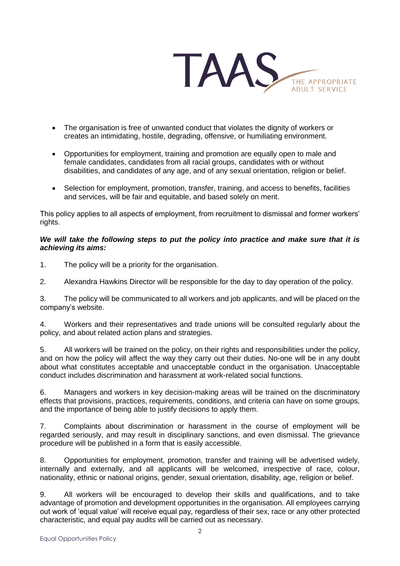

- The organisation is free of unwanted conduct that violates the dignity of workers or creates an intimidating, hostile, degrading, offensive, or humiliating environment.
- Opportunities for employment, training and promotion are equally open to male and female candidates, candidates from all racial groups, candidates with or without disabilities, and candidates of any age, and of any sexual orientation, religion or belief.
- Selection for employment, promotion, transfer, training, and access to benefits, facilities and services, will be fair and equitable, and based solely on merit.

This policy applies to all aspects of employment, from recruitment to dismissal and former workers' rights.

## *We will take the following steps to put the policy into practice and make sure that it is achieving its aims:*

1. The policy will be a priority for the organisation.

2. Alexandra Hawkins Director will be responsible for the day to day operation of the policy.

3. The policy will be communicated to all workers and job applicants, and will be placed on the company's website.

4. Workers and their representatives and trade unions will be consulted regularly about the policy, and about related action plans and strategies.

5. All workers will be trained on the policy, on their rights and responsibilities under the policy, and on how the policy will affect the way they carry out their duties. No-one will be in any doubt about what constitutes acceptable and unacceptable conduct in the organisation. Unacceptable conduct includes discrimination and harassment at work-related social functions.

6. Managers and workers in key decision-making areas will be trained on the discriminatory effects that provisions, practices, requirements, conditions, and criteria can have on some groups, and the importance of being able to justify decisions to apply them.

7. Complaints about discrimination or harassment in the course of employment will be regarded seriously, and may result in disciplinary sanctions, and even dismissal. The grievance procedure will be published in a form that is easily accessible.

8. Opportunities for employment, promotion, transfer and training will be advertised widely, internally and externally, and all applicants will be welcomed, irrespective of race, colour, nationality, ethnic or national origins, gender, sexual orientation, disability, age, religion or belief.

9. All workers will be encouraged to develop their skills and qualifications, and to take advantage of promotion and development opportunities in the organisation. All employees carrying out work of 'equal value' will receive equal pay, regardless of their sex, race or any other protected characteristic, and equal pay audits will be carried out as necessary.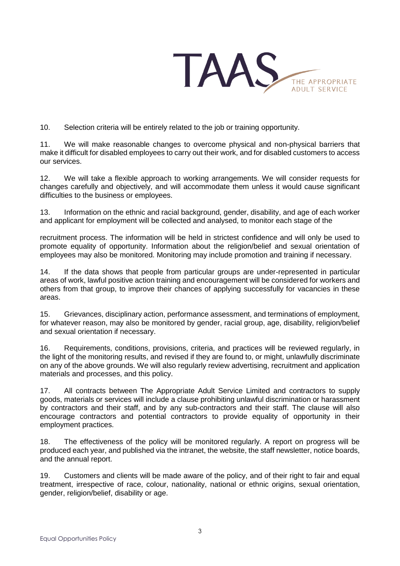

10. Selection criteria will be entirely related to the job or training opportunity.

11. We will make reasonable changes to overcome physical and non-physical barriers that make it difficult for disabled employees to carry out their work, and for disabled customers to access our services.

12. We will take a flexible approach to working arrangements. We will consider requests for changes carefully and objectively, and will accommodate them unless it would cause significant difficulties to the business or employees.

13. Information on the ethnic and racial background, gender, disability, and age of each worker and applicant for employment will be collected and analysed, to monitor each stage of the

recruitment process. The information will be held in strictest confidence and will only be used to promote equality of opportunity. Information about the religion/belief and sexual orientation of employees may also be monitored. Monitoring may include promotion and training if necessary.

14. If the data shows that people from particular groups are under-represented in particular areas of work, lawful positive action training and encouragement will be considered for workers and others from that group, to improve their chances of applying successfully for vacancies in these areas.

15. Grievances, disciplinary action, performance assessment, and terminations of employment, for whatever reason, may also be monitored by gender, racial group, age, disability, religion/belief and sexual orientation if necessary.

16. Requirements, conditions, provisions, criteria, and practices will be reviewed regularly, in the light of the monitoring results, and revised if they are found to, or might, unlawfully discriminate on any of the above grounds. We will also regularly review advertising, recruitment and application materials and processes, and this policy.

17. All contracts between The Appropriate Adult Service Limited and contractors to supply goods, materials or services will include a clause prohibiting unlawful discrimination or harassment by contractors and their staff, and by any sub-contractors and their staff. The clause will also encourage contractors and potential contractors to provide equality of opportunity in their employment practices.

18. The effectiveness of the policy will be monitored regularly. A report on progress will be produced each year, and published via the intranet, the website, the staff newsletter, notice boards, and the annual report.

19. Customers and clients will be made aware of the policy, and of their right to fair and equal treatment, irrespective of race, colour, nationality, national or ethnic origins, sexual orientation, gender, religion/belief, disability or age.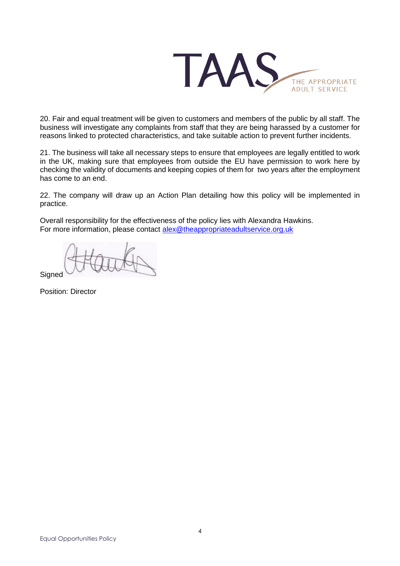

20. Fair and equal treatment will be given to customers and members of the public by all staff. The business will investigate any complaints from staff that they are being harassed by a customer for reasons linked to protected characteristics, and take suitable action to prevent further incidents.

21. The business will take all necessary steps to ensure that employees are legally entitled to work in the UK, making sure that employees from outside the EU have permission to work here by checking the validity of documents and keeping copies of them for two years after the employment has come to an end.

22. The company will draw up an Action Plan detailing how this policy will be implemented in practice.

Overall responsibility for the effectiveness of the policy lies with Alexandra Hawkins. For more information, please contact [alex@theappropriateadultservice.org.uk](mailto:alex@theappropriateadultservice.org.uk)

**Signed** 

Position: Director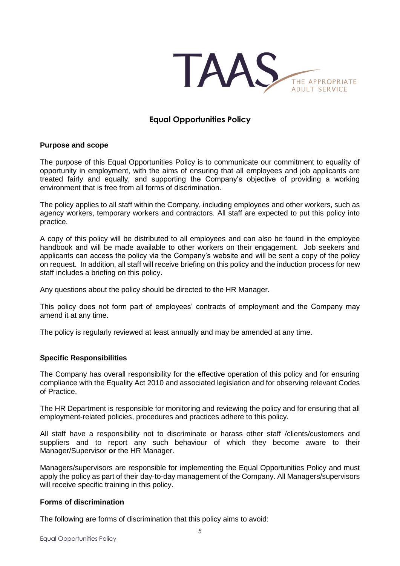

# **Equal Opportunities Policy**

#### **Purpose and scope**

The purpose of this Equal Opportunities Policy is to communicate our commitment to equality of opportunity in employment, with the aims of ensuring that all employees and job applicants are treated fairly and equally, and supporting the Company's objective of providing a working environment that is free from all forms of discrimination.

The policy applies to all staff within the Company, including employees and other workers, such as agency workers, temporary workers and contractors. All staff are expected to put this policy into practice.

A copy of this policy will be distributed to all employees and can also be found in the employee handbook and will be made available to other workers on their engagement. Job seekers and applicants can access the policy via the Company's website and will be sent a copy of the policy on request. In addition, all staff will receive briefing on this policy and the induction process for new staff includes a briefing on this policy.

Any questions about the policy should be directed to **t**he HR Manager.

This policy does not form part of employees' contracts of employment and the Company may amend it at any time.

The policy is regularly reviewed at least annually and may be amended at any time.

## **Specific Responsibilities**

The Company has overall responsibility for the effective operation of this policy and for ensuring compliance with the Equality Act 2010 and associated legislation and for observing relevant Codes of Practice.

The HR Department is responsible for monitoring and reviewing the policy and for ensuring that all employment-related policies, procedures and practices adhere to this policy.

All staff have a responsibility not to discriminate or harass other staff /clients/customers and suppliers and to report any such behaviour of which they become aware to their Manager/Supervisor **or** the HR Manager.

Managers/supervisors are responsible for implementing the Equal Opportunities Policy and must apply the policy as part of their day-to-day management of the Company. All Managers/supervisors will receive specific training in this policy.

#### **Forms of discrimination**

The following are forms of discrimination that this policy aims to avoid: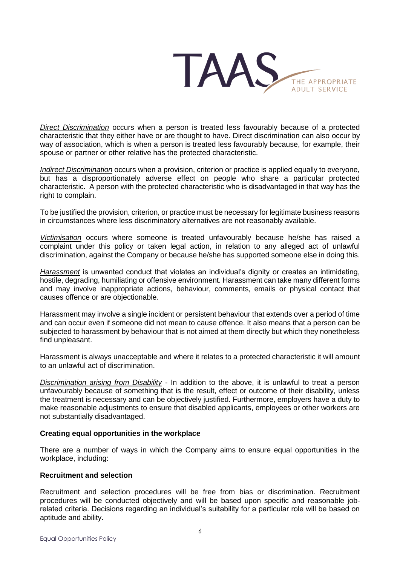

*Direct Discrimination* occurs when a person is treated less favourably because of a protected characteristic that they either have or are thought to have. Direct discrimination can also occur by way of association, which is when a person is treated less favourably because, for example, their spouse or partner or other relative has the protected characteristic.

*Indirect Discrimination* occurs when a provision, criterion or practice is applied equally to everyone, but has a disproportionately adverse effect on people who share a particular protected characteristic. A person with the protected characteristic who is disadvantaged in that way has the right to complain.

To be justified the provision, criterion, or practice must be necessary for legitimate business reasons in circumstances where less discriminatory alternatives are not reasonably available.

*Victimisation* occurs where someone is treated unfavourably because he/she has raised a complaint under this policy or taken legal action, in relation to any alleged act of unlawful discrimination, against the Company or because he/she has supported someone else in doing this.

*Harassment* is unwanted conduct that violates an individual's dignity or creates an intimidating, hostile, degrading, humiliating or offensive environment. Harassment can take many different forms and may involve inappropriate actions, behaviour, comments, emails or physical contact that causes offence or are objectionable.

Harassment may involve a single incident or persistent behaviour that extends over a period of time and can occur even if someone did not mean to cause offence. It also means that a person can be subjected to harassment by behaviour that is not aimed at them directly but which they nonetheless find unpleasant.

Harassment is always unacceptable and where it relates to a protected characteristic it will amount to an unlawful act of discrimination.

*Discrimination arising from Disability* - In addition to the above, it is unlawful to treat a person unfavourably because of something that is the result, effect or outcome of their disability, unless the treatment is necessary and can be objectively justified. Furthermore, employers have a duty to make reasonable adjustments to ensure that disabled applicants, employees or other workers are not substantially disadvantaged.

#### **Creating equal opportunities in the workplace**

There are a number of ways in which the Company aims to ensure equal opportunities in the workplace, including:

#### **Recruitment and selection**

Recruitment and selection procedures will be free from bias or discrimination. Recruitment procedures will be conducted objectively and will be based upon specific and reasonable jobrelated criteria. Decisions regarding an individual's suitability for a particular role will be based on aptitude and ability.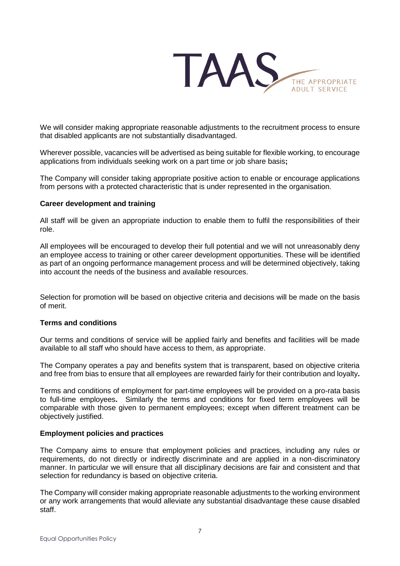

We will consider making appropriate reasonable adjustments to the recruitment process to ensure that disabled applicants are not substantially disadvantaged.

Wherever possible, vacancies will be advertised as being suitable for flexible working, to encourage applications from individuals seeking work on a part time or job share basis**;**

The Company will consider taking appropriate positive action to enable or encourage applications from persons with a protected characteristic that is under represented in the organisation.

### **Career development and training**

All staff will be given an appropriate induction to enable them to fulfil the responsibilities of their role.

All employees will be encouraged to develop their full potential and we will not unreasonably deny an employee access to training or other career development opportunities. These will be identified as part of an ongoing performance management process and will be determined objectively, taking into account the needs of the business and available resources.

Selection for promotion will be based on objective criteria and decisions will be made on the basis of merit.

## **Terms and conditions**

Our terms and conditions of service will be applied fairly and benefits and facilities will be made available to all staff who should have access to them, as appropriate.

The Company operates a pay and benefits system that is transparent, based on objective criteria and free from bias to ensure that all employees are rewarded fairly for their contribution and loyalty**.**

Terms and conditions of employment for part-time employees will be provided on a pro-rata basis to full-time employees**.** Similarly the terms and conditions for fixed term employees will be comparable with those given to permanent employees; except when different treatment can be objectively justified.

#### **Employment policies and practices**

The Company aims to ensure that employment policies and practices, including any rules or requirements, do not directly or indirectly discriminate and are applied in a non-discriminatory manner. In particular we will ensure that all disciplinary decisions are fair and consistent and that selection for redundancy is based on objective criteria.

The Company will consider making appropriate reasonable adjustments to the working environment or any work arrangements that would alleviate any substantial disadvantage these cause disabled staff.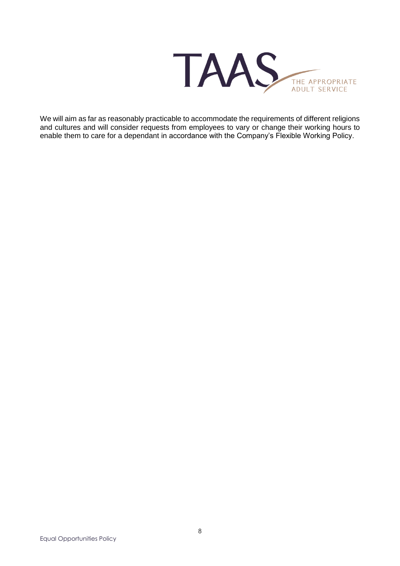

We will aim as far as reasonably practicable to accommodate the requirements of different religions and cultures and will consider requests from employees to vary or change their working hours to enable them to care for a dependant in accordance with the Company's Flexible Working Policy.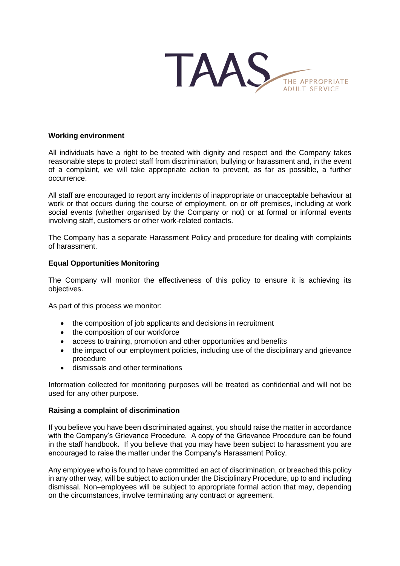

#### **Working environment**

All individuals have a right to be treated with dignity and respect and the Company takes reasonable steps to protect staff from discrimination, bullying or harassment and, in the event of a complaint, we will take appropriate action to prevent, as far as possible, a further occurrence.

All staff are encouraged to report any incidents of inappropriate or unacceptable behaviour at work or that occurs during the course of employment, on or off premises, including at work social events (whether organised by the Company or not) or at formal or informal events involving staff, customers or other work-related contacts.

The Company has a separate Harassment Policy and procedure for dealing with complaints of harassment.

#### **Equal Opportunities Monitoring**

The Company will monitor the effectiveness of this policy to ensure it is achieving its objectives.

As part of this process we monitor:

- the composition of job applicants and decisions in recruitment
- the composition of our workforce
- access to training, promotion and other opportunities and benefits
- the impact of our employment policies, including use of the disciplinary and grievance procedure
- dismissals and other terminations

Information collected for monitoring purposes will be treated as confidential and will not be used for any other purpose.

#### **Raising a complaint of discrimination**

If you believe you have been discriminated against, you should raise the matter in accordance with the Company's Grievance Procedure. A copy of the Grievance Procedure can be found in the staff handbook**.** If you believe that you may have been subject to harassment you are encouraged to raise the matter under the Company's Harassment Policy.

Any employee who is found to have committed an act of discrimination, or breached this policy in any other way, will be subject to action under the Disciplinary Procedure, up to and including dismissal. Non–employees will be subject to appropriate formal action that may, depending on the circumstances, involve terminating any contract or agreement.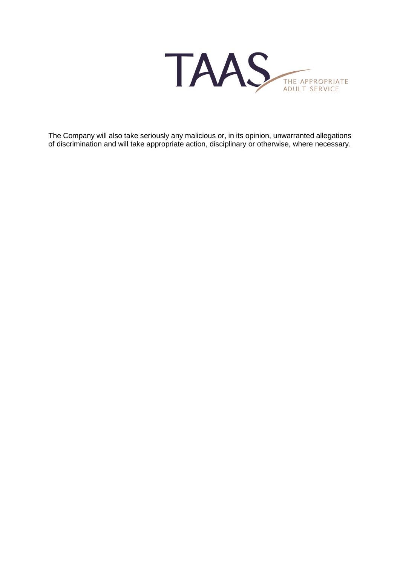TAAS THE APPROPRIATE<br>ADULT SERVICE

The Company will also take seriously any malicious or, in its opinion, unwarranted allegations of discrimination and will take appropriate action, disciplinary or otherwise, where necessary.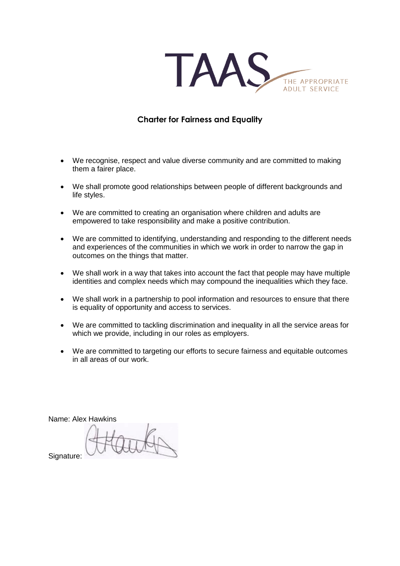

# **Charter for Fairness and Equality**

- We recognise, respect and value diverse community and are committed to making them a fairer place.
- We shall promote good relationships between people of different backgrounds and life styles.
- We are committed to creating an organisation where children and adults are empowered to take responsibility and make a positive contribution.
- We are committed to identifying, understanding and responding to the different needs and experiences of the communities in which we work in order to narrow the gap in outcomes on the things that matter.
- We shall work in a way that takes into account the fact that people may have multiple identities and complex needs which may compound the inequalities which they face.
- We shall work in a partnership to pool information and resources to ensure that there is equality of opportunity and access to services.
- We are committed to tackling discrimination and inequality in all the service areas for which we provide, including in our roles as employers.
- We are committed to targeting our efforts to secure fairness and equitable outcomes in all areas of our work.

Name: Alex Hawkins

Signature: